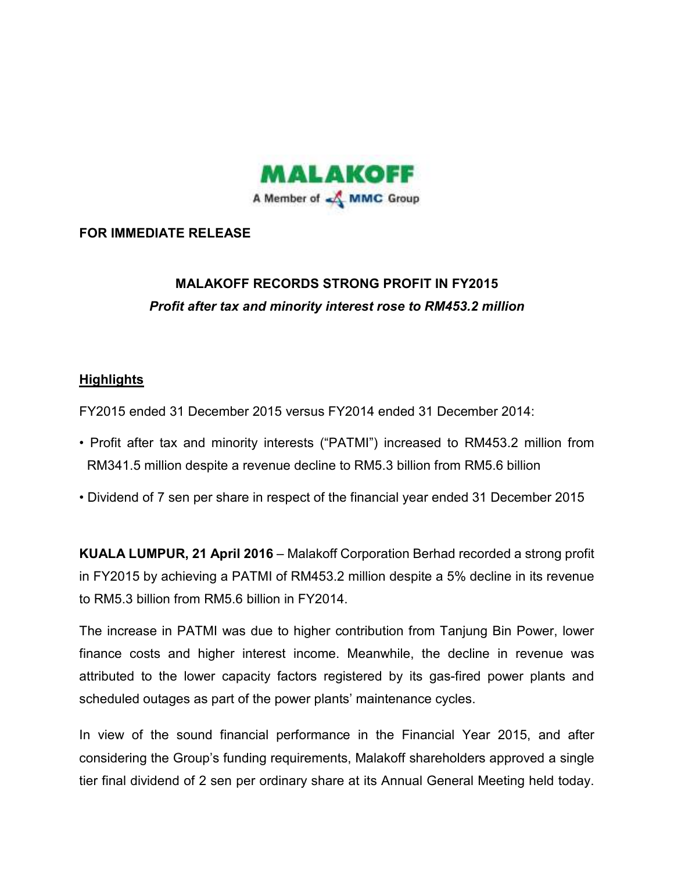

### **FOR IMMEDIATE RELEASE**

# **MALAKOFF RECORDS STRONG PROFIT IN FY2015**  *Profit after tax and minority interest rose to RM453.2 million*

### **Highlights**

FY2015 ended 31 December 2015 versus FY2014 ended 31 December 2014:

- Profit after tax and minority interests ("PATMI") increased to RM453.2 million from RM341.5 million despite a revenue decline to RM5.3 billion from RM5.6 billion
- Dividend of 7 sen per share in respect of the financial year ended 31 December 2015

**KUALA LUMPUR, 21 April 2016** – Malakoff Corporation Berhad recorded a strong profit in FY2015 by achieving a PATMI of RM453.2 million despite a 5% decline in its revenue to RM5.3 billion from RM5.6 billion in FY2014.

The increase in PATMI was due to higher contribution from Tanjung Bin Power, lower finance costs and higher interest income. Meanwhile, the decline in revenue was attributed to the lower capacity factors registered by its gas-fired power plants and scheduled outages as part of the power plants' maintenance cycles.

In view of the sound financial performance in the Financial Year 2015, and after considering the Group's funding requirements, Malakoff shareholders approved a single tier final dividend of 2 sen per ordinary share at its Annual General Meeting held today.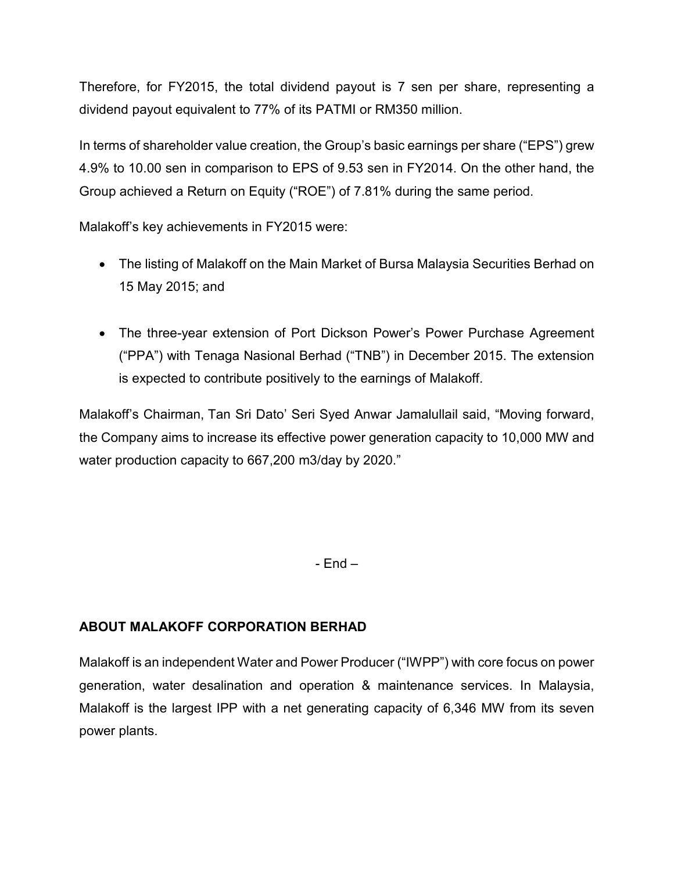Therefore, for FY2015, the total dividend payout is 7 sen per share, representing a dividend payout equivalent to 77% of its PATMI or RM350 million.

In terms of shareholder value creation, the Group's basic earnings per share ("EPS") grew 4.9% to 10.00 sen in comparison to EPS of 9.53 sen in FY2014. On the other hand, the Group achieved a Return on Equity ("ROE") of 7.81% during the same period.

Malakoff's key achievements in FY2015 were:

- The listing of Malakoff on the Main Market of Bursa Malaysia Securities Berhad on 15 May 2015; and
- The three-year extension of Port Dickson Power's Power Purchase Agreement ("PPA") with Tenaga Nasional Berhad ("TNB") in December 2015. The extension is expected to contribute positively to the earnings of Malakoff.

Malakoff's Chairman, Tan Sri Dato' Seri Syed Anwar Jamalullail said, "Moving forward, the Company aims to increase its effective power generation capacity to 10,000 MW and water production capacity to 667,200 m3/day by 2020."

- End –

## **ABOUT MALAKOFF CORPORATION BERHAD**

Malakoff is an independent Water and Power Producer ("IWPP") with core focus on power generation, water desalination and operation & maintenance services. In Malaysia, Malakoff is the largest IPP with a net generating capacity of 6,346 MW from its seven power plants.